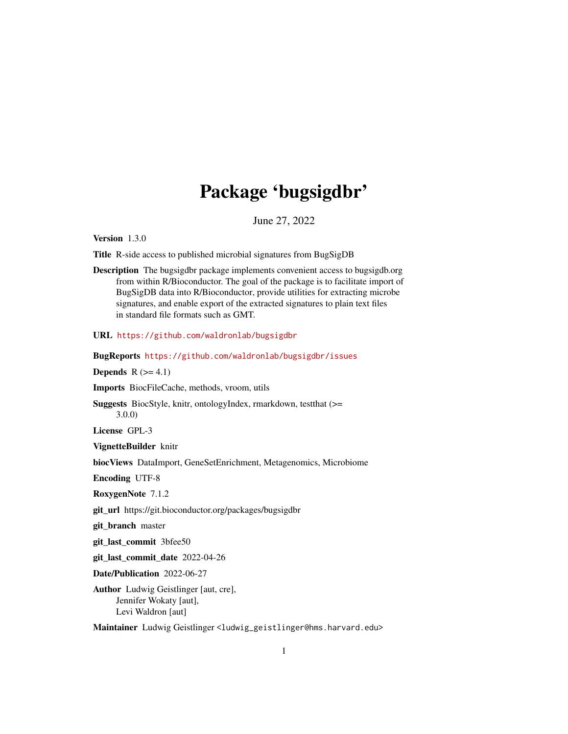# Package 'bugsigdbr'

June 27, 2022

<span id="page-0-0"></span>Version 1.3.0

Title R-side access to published microbial signatures from BugSigDB

Description The bugsigdbr package implements convenient access to bugsigdb.org from within R/Bioconductor. The goal of the package is to facilitate import of BugSigDB data into R/Bioconductor, provide utilities for extracting microbe signatures, and enable export of the extracted signatures to plain text files in standard file formats such as GMT.

URL <https://github.com/waldronlab/bugsigdbr>

BugReports <https://github.com/waldronlab/bugsigdbr/issues>

Depends  $R (=4.1)$ 

Imports BiocFileCache, methods, vroom, utils

Suggests BiocStyle, knitr, ontologyIndex, rmarkdown, testthat (>= 3.0.0)

License GPL-3

VignetteBuilder knitr

biocViews DataImport, GeneSetEnrichment, Metagenomics, Microbiome

Encoding UTF-8

RoxygenNote 7.1.2

git\_url https://git.bioconductor.org/packages/bugsigdbr

git branch master

git\_last\_commit 3bfee50

git\_last\_commit\_date 2022-04-26

Date/Publication 2022-06-27

Author Ludwig Geistlinger [aut, cre], Jennifer Wokaty [aut], Levi Waldron [aut]

Maintainer Ludwig Geistlinger <ludwig\_geistlinger@hms.harvard.edu>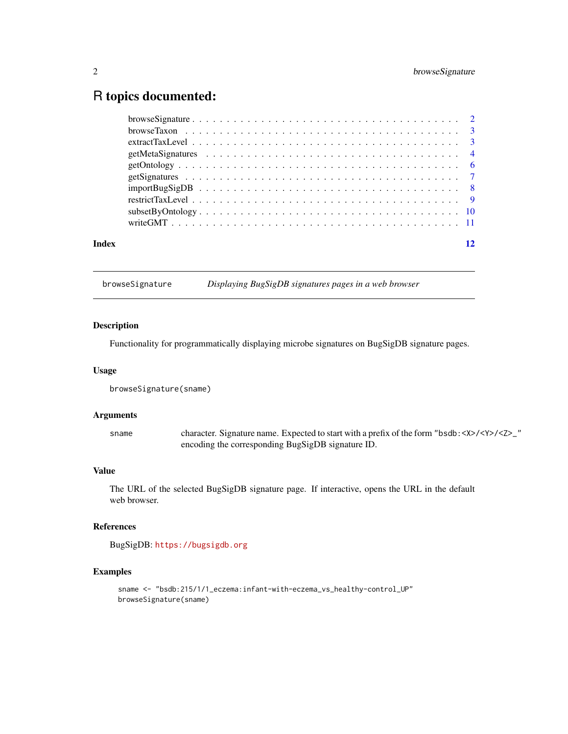# <span id="page-1-0"></span>R topics documented:

| $\frac{1}{2}$ import Bug Sig DB $\ldots \ldots \ldots \ldots \ldots \ldots \ldots \ldots \ldots \ldots \ldots \ldots$ |  |
|-----------------------------------------------------------------------------------------------------------------------|--|
|                                                                                                                       |  |
|                                                                                                                       |  |
|                                                                                                                       |  |
|                                                                                                                       |  |
|                                                                                                                       |  |
|                                                                                                                       |  |
|                                                                                                                       |  |
|                                                                                                                       |  |
|                                                                                                                       |  |
| Index                                                                                                                 |  |

browseSignature *Displaying BugSigDB signatures pages in a web browser*

# Description

Functionality for programmatically displaying microbe signatures on BugSigDB signature pages.

#### Usage

browseSignature(sname)

#### Arguments

sname character. Signature name. Expected to start with a prefix of the form "bsdb:<X>/<Y>/<Z>\_" encoding the corresponding BugSigDB signature ID.

# Value

The URL of the selected BugSigDB signature page. If interactive, opens the URL in the default web browser.

#### References

BugSigDB: <https://bugsigdb.org>

```
sname <- "bsdb:215/1/1_eczema:infant-with-eczema_vs_healthy-control_UP"
browseSignature(sname)
```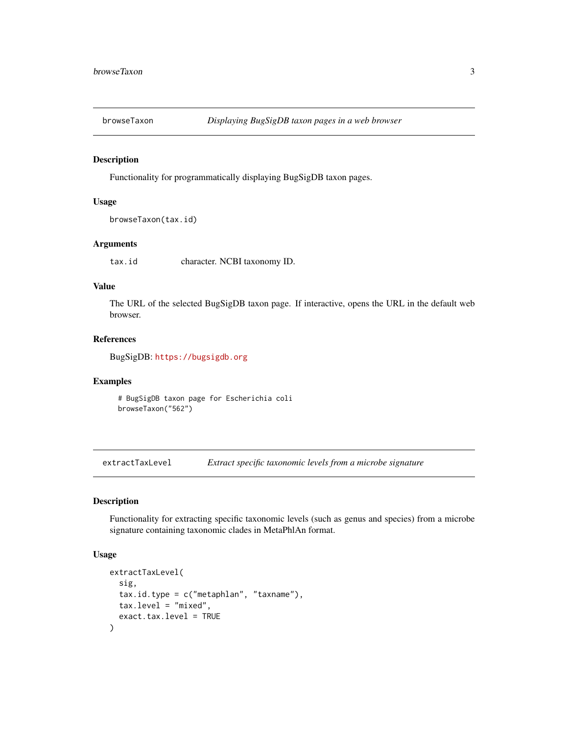<span id="page-2-0"></span>

# Description

Functionality for programmatically displaying BugSigDB taxon pages.

#### Usage

```
browseTaxon(tax.id)
```
# Arguments

tax.id character. NCBI taxonomy ID.

# Value

The URL of the selected BugSigDB taxon page. If interactive, opens the URL in the default web browser.

#### References

BugSigDB: <https://bugsigdb.org>

# Examples

# BugSigDB taxon page for Escherichia coli browseTaxon("562")

extractTaxLevel *Extract specific taxonomic levels from a microbe signature*

#### Description

Functionality for extracting specific taxonomic levels (such as genus and species) from a microbe signature containing taxonomic clades in MetaPhlAn format.

#### Usage

```
extractTaxLevel(
  sig,
  tax.id.type = c("metaphlan", "taxname"),tax.level = "mixed",
  exact.tax.level = TRUE
)
```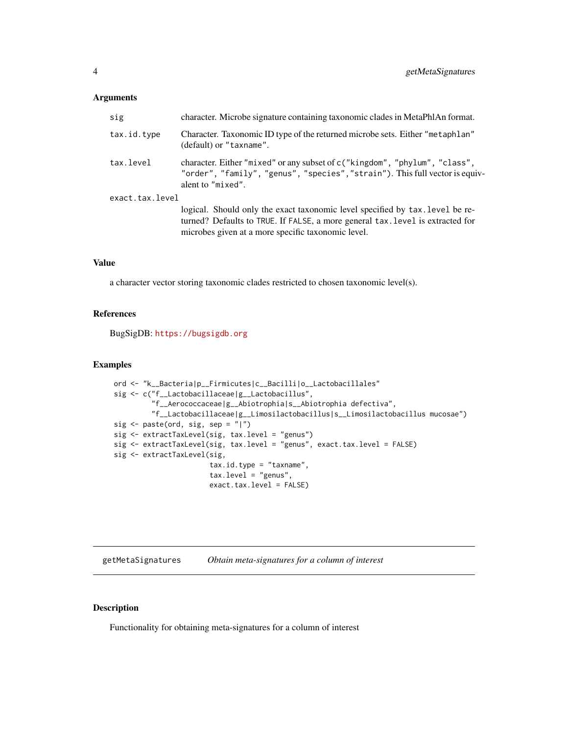#### <span id="page-3-0"></span>Arguments

| sig             | character. Microbe signature containing taxonomic clades in MetaPhlAn format.                                                                                                                                         |
|-----------------|-----------------------------------------------------------------------------------------------------------------------------------------------------------------------------------------------------------------------|
| tax.id.type     | Character. Taxonomic ID type of the returned microbe sets. Either "metaphlan"<br>(default) or "taxname".                                                                                                              |
| tax.level       | character. Either "mixed" or any subset of c("kingdom", "phylum", "class",<br>"order", "family", "genus", "species", "strain"). This full vector is equiv-<br>alent to "mixed".                                       |
| exact.tax.level | logical. Should only the exact taxonomic level specified by tax. Level be re-<br>turned? Defaults to TRUE. If FALSE, a more general tax. level is extracted for<br>microbes given at a more specific taxonomic level. |

# Value

a character vector storing taxonomic clades restricted to chosen taxonomic level(s).

# References

BugSigDB: <https://bugsigdb.org>

#### Examples

```
ord <- "k__Bacteria|p__Firmicutes|c__Bacilli|o__Lactobacillales"
sig <- c("f__Lactobacillaceae|g__Lactobacillus",
         "f__Aerococcaceae|g__Abiotrophia|s__Abiotrophia defectiva",
         "f__Lactobacillaceae|g__Limosilactobacillus|s__Limosilactobacillus mucosae")
sig <- paste(ord, sig, sep = "|")
sig <- extractTaxLevel(sig, tax.level = "genus")
sig <- extractTaxLevel(sig, tax.level = "genus", exact.tax.level = FALSE)
sig <- extractTaxLevel(sig,
                       tax.id.type = "taxname",
                       tax.level = "genus",
                       exact.tax.level = FALSE)
```
getMetaSignatures *Obtain meta-signatures for a column of interest*

# Description

Functionality for obtaining meta-signatures for a column of interest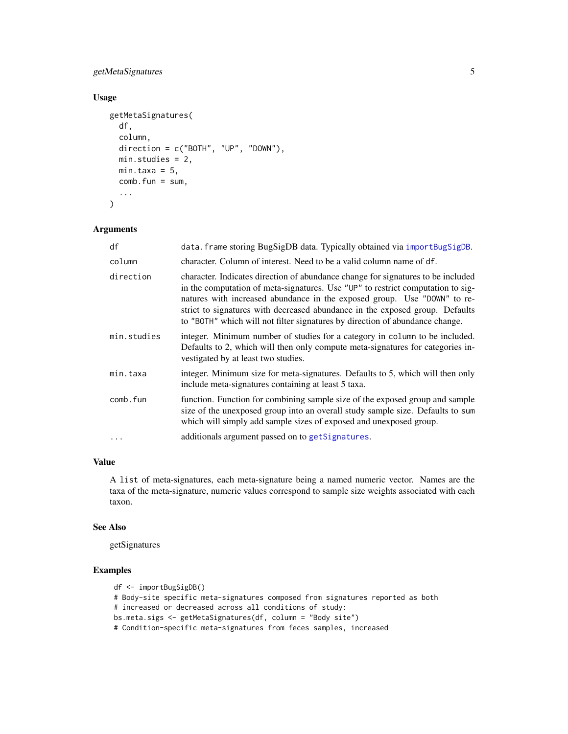# <span id="page-4-0"></span>getMetaSignatures 5

# Usage

```
getMetaSignatures(
  df,
  column,
  direction = c("BOTH", "UP", "DOWN"),
  min.studies = 2,
  min.taxa = 5,
  comb.fun = sum,
  ...
\mathcal{L}
```
# Arguments

| df          | data. frame storing BugSigDB data. Typically obtained via importBugSigDB.                                                                                                                                                                                                                                                                                                                                       |
|-------------|-----------------------------------------------------------------------------------------------------------------------------------------------------------------------------------------------------------------------------------------------------------------------------------------------------------------------------------------------------------------------------------------------------------------|
| column      | character. Column of interest. Need to be a valid column name of df.                                                                                                                                                                                                                                                                                                                                            |
| direction   | character. Indicates direction of abundance change for signatures to be included<br>in the computation of meta-signatures. Use "UP" to restrict computation to sig-<br>natures with increased abundance in the exposed group. Use "DOWN" to re-<br>strict to signatures with decreased abundance in the exposed group. Defaults<br>to "BOTH" which will not filter signatures by direction of abundance change. |
| min.studies | integer. Minimum number of studies for a category in column to be included.<br>Defaults to 2, which will then only compute meta-signatures for categories in-<br>vestigated by at least two studies.                                                                                                                                                                                                            |
| min.taxa    | integer. Minimum size for meta-signatures. Defaults to 5, which will then only<br>include meta-signatures containing at least 5 taxa.                                                                                                                                                                                                                                                                           |
| comb.fun    | function. Function for combining sample size of the exposed group and sample<br>size of the unexposed group into an overall study sample size. Defaults to sum<br>which will simply add sample sizes of exposed and unexposed group.                                                                                                                                                                            |
| $\ddots$ .  | additionals argument passed on to getSignatures.                                                                                                                                                                                                                                                                                                                                                                |

#### Value

A list of meta-signatures, each meta-signature being a named numeric vector. Names are the taxa of the meta-signature, numeric values correspond to sample size weights associated with each taxon.

#### See Also

getSignatures

```
df <- importBugSigDB()
# Body-site specific meta-signatures composed from signatures reported as both
# increased or decreased across all conditions of study:
bs.meta.sigs <- getMetaSignatures(df, column = "Body site")
# Condition-specific meta-signatures from feces samples, increased
```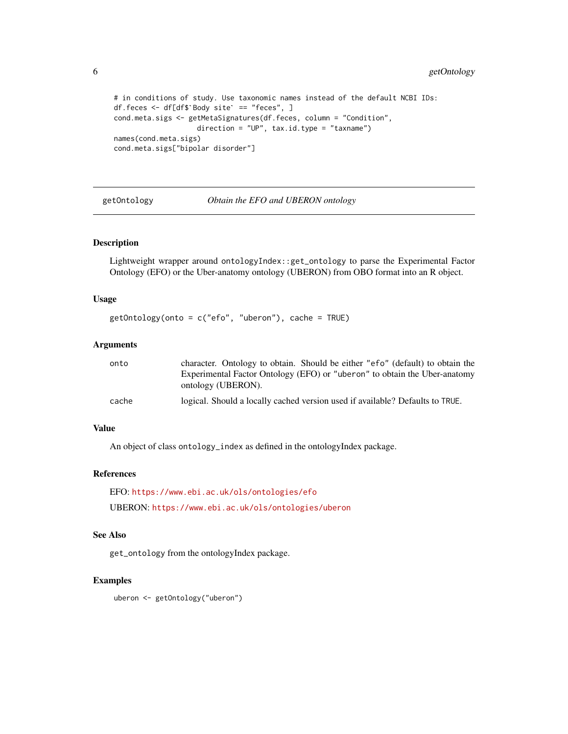```
# in conditions of study. Use taxonomic names instead of the default NCBI IDs:
# in conditions of study. Use taxonomic nam<br>df.feces <- df[df$`Body site` == "feces", ]
cond.meta.sigs <- getMetaSignatures(df.feces, column = "Condition",
                       direction = "UP", tax.id.type = "taxname")names(cond.meta.sigs)
cond.meta.sigs["bipolar disorder"]
```
<span id="page-5-1"></span>getOntology *Obtain the EFO and UBERON ontology*

#### Description

Lightweight wrapper around ontologyIndex::get\_ontology to parse the Experimental Factor Ontology (EFO) or the Uber-anatomy ontology (UBERON) from OBO format into an R object.

#### Usage

```
getOntology(onto = c("efo", "uberon"), cache = TRUE)
```
#### Arguments

| onto  | character. Ontology to obtain. Should be either "efo" (default) to obtain the |
|-------|-------------------------------------------------------------------------------|
|       | Experimental Factor Ontology (EFO) or "uberon" to obtain the Uber-anatomy     |
|       | ontology (UBERON).                                                            |
| cache | logical. Should a locally cached version used if available? Defaults to TRUE. |

### Value

An object of class ontology\_index as defined in the ontologyIndex package.

# References

```
EFO: https://www.ebi.ac.uk/ols/ontologies/efo
UBERON: https://www.ebi.ac.uk/ols/ontologies/uberon
```
# See Also

get\_ontology from the ontologyIndex package.

# Examples

uberon <- getOntology("uberon")

<span id="page-5-0"></span>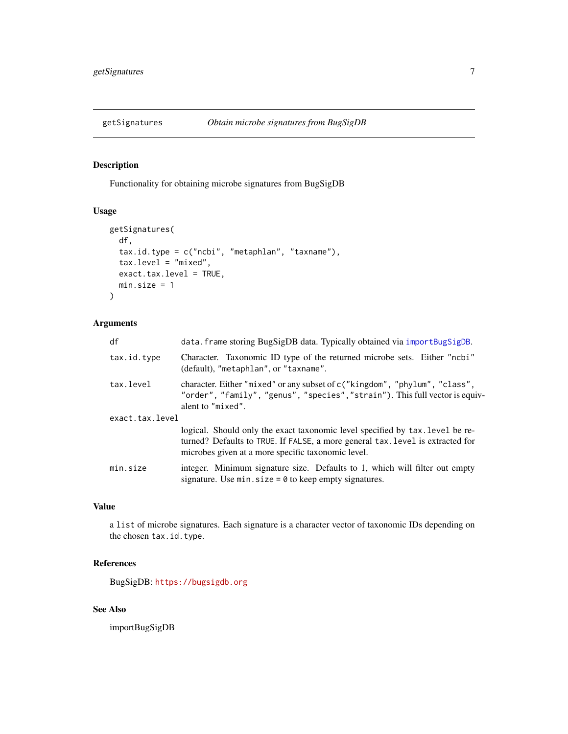<span id="page-6-1"></span><span id="page-6-0"></span>

#### Description

Functionality for obtaining microbe signatures from BugSigDB

#### Usage

```
getSignatures(
 df,
  tax.id.type = c("ncbi", "metaphlan", "taxname"),
  tax.level = "mixed",
  exact.tax.level = TRUE,
 min.size = 1
\mathcal{L}
```
# Arguments

| df              | data. frame storing BugSigDB data. Typically obtained via importBugSigDB.                                                                                                                                             |
|-----------------|-----------------------------------------------------------------------------------------------------------------------------------------------------------------------------------------------------------------------|
| tax.id.type     | Character. Taxonomic ID type of the returned microbe sets. Either "ncbi"<br>(default), "metaphlan", or "taxname".                                                                                                     |
| tax.level       | character. Either "mixed" or any subset of c("kingdom", "phylum", "class",<br>"order", "family", "genus", "species", "strain"). This full vector is equiv-<br>alent to "mixed".                                       |
| exact.tax.level |                                                                                                                                                                                                                       |
|                 | logical. Should only the exact taxonomic level specified by tax. Level be re-<br>turned? Defaults to TRUE. If FALSE, a more general tax. level is extracted for<br>microbes given at a more specific taxonomic level. |
| min.size        | integer. Minimum signature size. Defaults to 1, which will filter out empty<br>signature. Use $min.size = 0$ to keep empty signatures.                                                                                |

#### Value

a list of microbe signatures. Each signature is a character vector of taxonomic IDs depending on the chosen tax.id.type.

# References

BugSigDB: <https://bugsigdb.org>

# See Also

importBugSigDB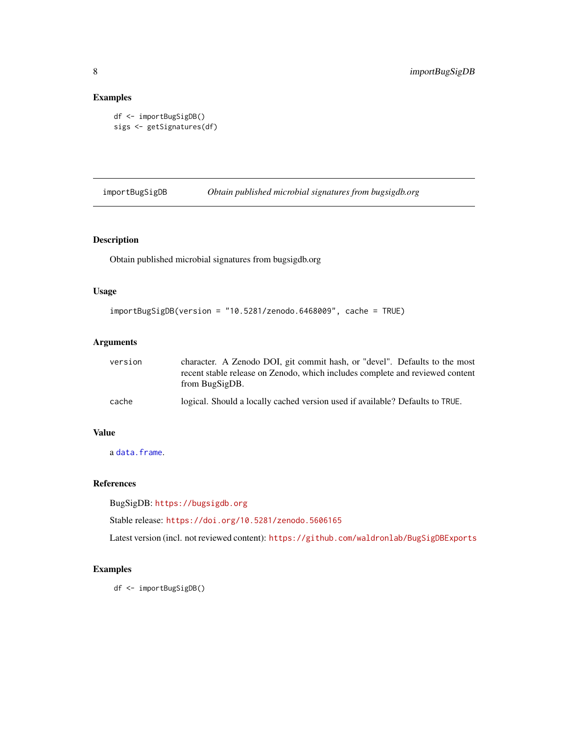# <span id="page-7-0"></span>Examples

```
df <- importBugSigDB()
sigs <- getSignatures(df)
```
<span id="page-7-1"></span>importBugSigDB *Obtain published microbial signatures from bugsigdb.org*

# Description

Obtain published microbial signatures from bugsigdb.org

# Usage

```
importBugSigDB(version = "10.5281/zenodo.6468009", cache = TRUE)
```
# Arguments

| version | character. A Zenodo DOI, git commit hash, or "devel". Defaults to the most<br>recent stable release on Zenodo, which includes complete and reviewed content<br>from BugSigDB. |
|---------|-------------------------------------------------------------------------------------------------------------------------------------------------------------------------------|
| cache   | logical. Should a locally cached version used if available? Defaults to TRUE.                                                                                                 |

# Value

a [data.frame](#page-0-0).

# References

BugSigDB: <https://bugsigdb.org>

Stable release: <https://doi.org/10.5281/zenodo.5606165>

Latest version (incl. not reviewed content): <https://github.com/waldronlab/BugSigDBExports>

# Examples

df <- importBugSigDB()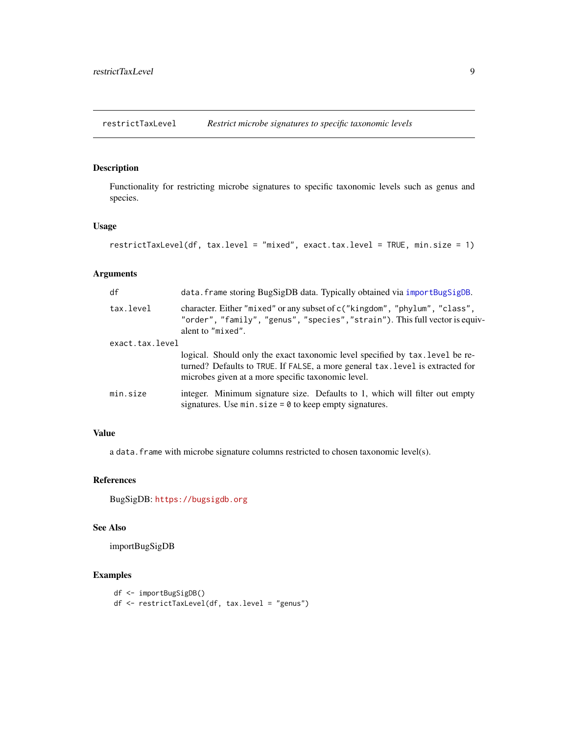<span id="page-8-0"></span>restrictTaxLevel *Restrict microbe signatures to specific taxonomic levels*

# Description

Functionality for restricting microbe signatures to specific taxonomic levels such as genus and species.

# Usage

```
restrictTaxLevel(df, tax.level = "mixed", exact.tax.level = TRUE, min.size = 1)
```
### Arguments

| df              | data. frame storing BugSigDB data. Typically obtained via importBugSigDB.                                                                                                                                             |
|-----------------|-----------------------------------------------------------------------------------------------------------------------------------------------------------------------------------------------------------------------|
| tax.level       | character. Either "mixed" or any subset of c("kingdom", "phylum", "class",<br>"order", "family", "genus", "species", "strain"). This full vector is equiv-<br>alent to "mixed".                                       |
| exact.tax.level |                                                                                                                                                                                                                       |
|                 | logical. Should only the exact taxonomic level specified by tax. Level be re-<br>turned? Defaults to TRUE. If FALSE, a more general tax. level is extracted for<br>microbes given at a more specific taxonomic level. |
| min.size        | integer. Minimum signature size. Defaults to 1, which will filter out empty<br>signatures. Use $min.size = 0$ to keep empty signatures.                                                                               |

# Value

a data. frame with microbe signature columns restricted to chosen taxonomic level(s).

# References

BugSigDB: <https://bugsigdb.org>

#### See Also

importBugSigDB

```
df <- importBugSigDB()
df <- restrictTaxLevel(df, tax.level = "genus")
```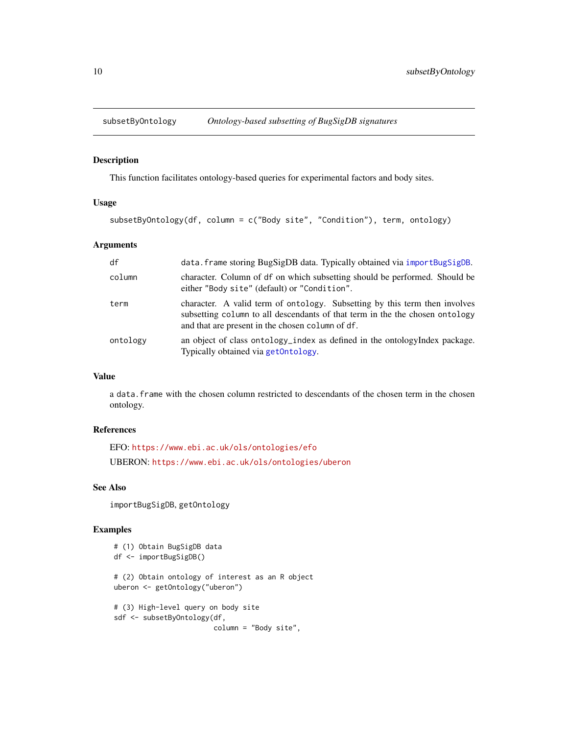<span id="page-9-0"></span>

#### Description

This function facilitates ontology-based queries for experimental factors and body sites.

#### Usage

```
subsetByOntology(df, column = c("Body site", "Condition"), term, ontology)
```
# Arguments

| df       | data. frame storing BugSigDB data. Typically obtained via importBugSigDB.                                                                                                                                      |
|----------|----------------------------------------------------------------------------------------------------------------------------------------------------------------------------------------------------------------|
| column   | character. Column of df on which subsetting should be performed. Should be<br>either "Body site" (default) or "Condition".                                                                                     |
| term     | character. A valid term of ontology. Subsetting by this term then involves<br>subsetting column to all descendants of that term in the the chosen ontology<br>and that are present in the chosen column of df. |
| ontology | an object of class ontology_index as defined in the ontologyIndex package.<br>Typically obtained via get0ntology.                                                                                              |

# Value

a data.frame with the chosen column restricted to descendants of the chosen term in the chosen ontology.

#### References

EFO: <https://www.ebi.ac.uk/ols/ontologies/efo> UBERON: <https://www.ebi.ac.uk/ols/ontologies/uberon>

## See Also

importBugSigDB, getOntology

```
# (1) Obtain BugSigDB data
df <- importBugSigDB()
# (2) Obtain ontology of interest as an R object
uberon <- getOntology("uberon")
# (3) High-level query on body site
sdf <- subsetByOntology(df,
                       column = "Body site",
```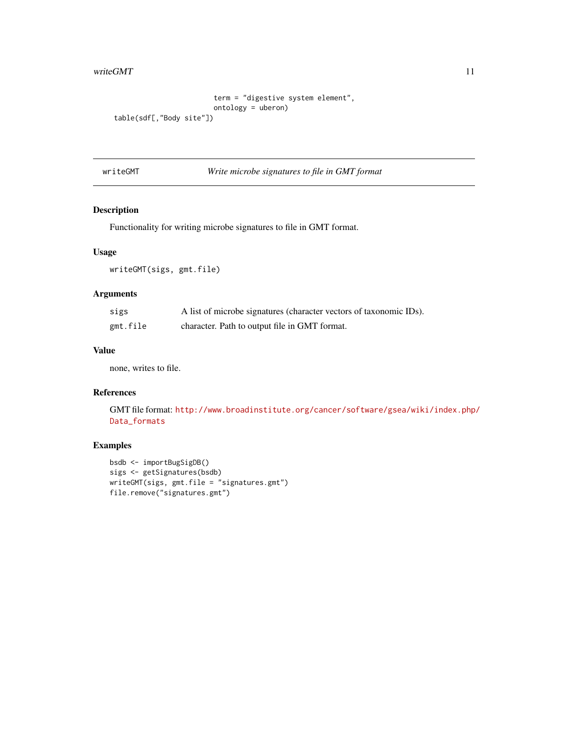#### <span id="page-10-0"></span>writeGMT  $11$

```
term = "digestive system element",
                        ontology = uberon)
table(sdf[,"Body site"])
```
writeGMT *Write microbe signatures to file in GMT format*

### Description

Functionality for writing microbe signatures to file in GMT format.

#### Usage

writeGMT(sigs, gmt.file)

# Arguments

| sigs     | A list of microbe signatures (character vectors of taxonomic IDs). |
|----------|--------------------------------------------------------------------|
| gmt.file | character. Path to output file in GMT format.                      |

# Value

none, writes to file.

# References

GMT file format: [http://www.broadinstitute.org/cancer/software/gsea/wiki/index.php/](http://www.broadinstitute.org/cancer/software/gsea/wiki/index.php/Data_formats) [Data\\_formats](http://www.broadinstitute.org/cancer/software/gsea/wiki/index.php/Data_formats)

```
bsdb <- importBugSigDB()
sigs <- getSignatures(bsdb)
writeGMT(sigs, gmt.file = "signatures.gmt")
file.remove("signatures.gmt")
```